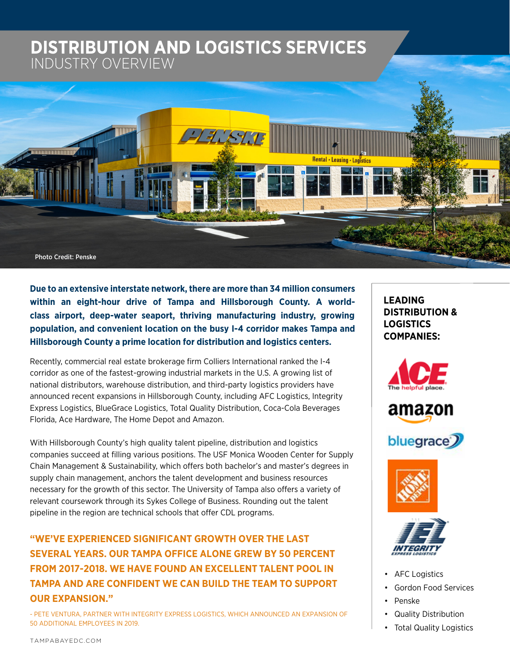# **DISTRIBUTION AND LOGISTICS SERVICES DISTRIBUTION AND LOGISTICS SERVICES** INDUSTRY OVERVIEW



**Due to an extensive interstate network, there are more than 34 million consumers within an eight-hour drive of Tampa and Hillsborough County. A worldclass airport, deep-water seaport, thriving manufacturing industry, growing population, and convenient location on the busy I-4 corridor makes Tampa and Hillsborough County a prime location for distribution and logistics centers.** 

Recently, commercial real estate brokerage firm Colliers International ranked the I-4 corridor as one of the fastest-growing industrial markets in the U.S. A growing list of national distributors, warehouse distribution, and third-party logistics providers have announced recent expansions in Hillsborough County, including AFC Logistics, Integrity Express Logistics, BlueGrace Logistics, Total Quality Distribution, Coca-Cola Beverages Florida, Ace Hardware, The Home Depot and Amazon.

With Hillsborough County's high quality talent pipeline, distribution and logistics companies succeed at filling various positions. The USF Monica Wooden Center for Supply Chain Management & Sustainability, which offers both bachelor's and master's degrees in supply chain management, anchors the talent development and business resources necessary for the growth of this sector. The University of Tampa also offers a variety of relevant coursework through its Sykes College of Business. Rounding out the talent pipeline in the region are technical schools that offer CDL programs.

# **"WE'VE EXPERIENCED SIGNIFICANT GROWTH OVER THE LAST SEVERAL YEARS. OUR TAMPA OFFICE ALONE GREW BY 50 PERCENT FROM 2017-2018. WE HAVE FOUND AN EXCELLENT TALENT POOL IN TAMPA AND ARE CONFIDENT WE CAN BUILD THE TEAM TO SUPPORT OUR EXPANSION."**

- PETE VENTURA, PARTNER WITH INTEGRITY EXPRESS LOGISTICS, WHICH ANNOUNCED AN EXPANSION OF 50 ADDITIONAL EMPLOYEES IN 2019.

**LEADING DISTRIBUTION & LOGISTICS COMPANIES:**











- AFC Logistics
- Gordon Food Services
- Penske
- Quality Distribution
- **Total Quality Logistics**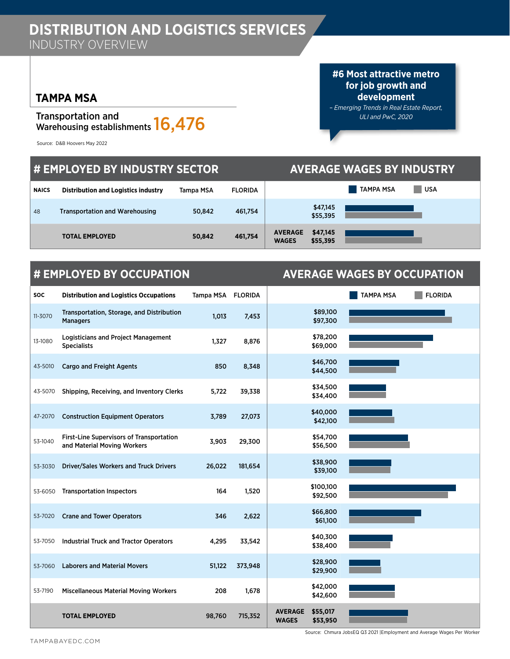# **TAMPA MSA**

## Transportation and Transportation and<br>Warehousing establishments **16,476**

Source: D&B Hoovers May 2022

**#6 Most attractive metro for job growth and development**

*– Emerging Trends in Real Estate Report, ULI and PwC, 2020*

| # EMPLOYED BY INDUSTRY SECTOR |                                            |           |                | <b>AVERAGE WAGES BY INDUSTRY</b> |                      |                  |            |  |
|-------------------------------|--------------------------------------------|-----------|----------------|----------------------------------|----------------------|------------------|------------|--|
| <b>NAICS</b>                  | <b>Distribution and Logistics industry</b> | Tampa MSA | <b>FLORIDA</b> |                                  |                      | <b>TAMPA MSA</b> | <b>USA</b> |  |
| 48                            | <b>Transportation and Warehousing</b>      | 50,842    | 461,754        |                                  | \$47,145<br>\$55,395 |                  |            |  |
|                               | <b>TOTAL EMPLOYED</b>                      | 50,842    | 461,754        | <b>AVERAGE</b><br><b>WAGES</b>   | \$47,145<br>\$55,395 |                  |            |  |

# **# EMPLOYED BY OCCUPATION AVERAGE WAGES BY OCCUPATION**

| <b>SOC</b> | <b>Distribution and Logistics Occupations</b>                                  | Tampa MSA | <b>FLORIDA</b> |                                |                       | <b>FLORIDA</b><br><b>TAMPA MSA</b> |
|------------|--------------------------------------------------------------------------------|-----------|----------------|--------------------------------|-----------------------|------------------------------------|
| 11-3070    | Transportation, Storage, and Distribution<br><b>Managers</b>                   | 1,013     | 7,453          |                                | \$89,100<br>\$97,300  |                                    |
| 13-1080    | <b>Logisticians and Project Management</b><br><b>Specialists</b>               | 1,327     | 8,876          |                                | \$78,200<br>\$69,000  |                                    |
| 43-5010    | <b>Cargo and Freight Agents</b>                                                | 850       | 8,348          |                                | \$46,700<br>\$44,500  |                                    |
| 43-5070    | Shipping, Receiving, and Inventory Clerks                                      | 5,722     | 39,338         |                                | \$34,500<br>\$34,400  |                                    |
| 47-2070    | <b>Construction Equipment Operators</b>                                        | 3,789     | 27,073         |                                | \$40,000<br>\$42,100  |                                    |
| 53-1040    | <b>First-Line Supervisors of Transportation</b><br>and Material Moving Workers | 3,903     | 29,300         |                                | \$54,700<br>\$56,500  |                                    |
| 53-3030    | <b>Driver/Sales Workers and Truck Drivers</b>                                  | 26,022    | 181,654        |                                | \$38,900<br>\$39,100  |                                    |
| 53-6050    | <b>Transportation Inspectors</b>                                               | 164       | 1,520          |                                | \$100,100<br>\$92,500 |                                    |
| 53-7020    | <b>Crane and Tower Operators</b>                                               | 346       | 2,622          |                                | \$66,800<br>\$61,100  |                                    |
| 53-7050    | <b>Industrial Truck and Tractor Operators</b>                                  | 4.295     | 33,542         |                                | \$40,300<br>\$38,400  |                                    |
| 53-7060    | <b>Laborers and Material Movers</b>                                            | 51,122    | 373,948        |                                | \$28,900<br>\$29,900  |                                    |
| 53-7190    | <b>Miscellaneous Material Moving Workers</b>                                   | 208       | 1,678          |                                | \$42,000<br>\$42,600  |                                    |
|            | <b>TOTAL EMPLOYED</b>                                                          | 98,760    | 715,352        | <b>AVERAGE</b><br><b>WAGES</b> | \$55,017<br>\$53,950  |                                    |

[TAMPABAYEDC.COM](http://tampabayedc.com)

Source: Chmura JobsEQ Q3 2021 |Employment and Average Wages Per Worker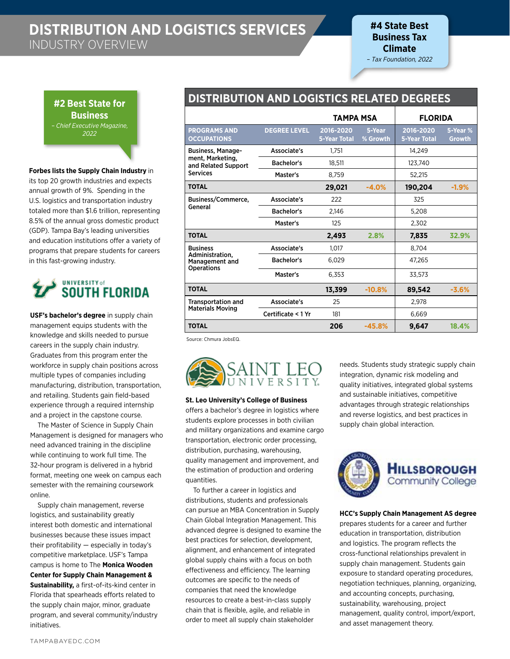**#4 State Best Business Tax Climate**  – *Tax Foundation, 2022*

**#2 Best State for Business** *– Chief Executive Magazine, 2022*

#### **Forbes lists the Supply Chain Industry** in

its top 20 growth industries and expects annual growth of 9%. Spending in the U.S. logistics and transportation industry totaled more than \$1.6 trillion, representing 8.5% of the annual gross domestic product (GDP). Tampa Bay's leading universities and education institutions offer a variety of programs that prepare students for careers in this fast-growing industry.

# **UNIVERSITY of**<br>**SOUTH FLORIDA**

**USF's bachelor's degree** in supply chain management equips students with the knowledge and skills needed to pursue careers in the supply chain industry. Graduates from this program enter the workforce in supply chain positions across multiple types of companies including manufacturing, distribution, transportation, and retailing. Students gain field-based experience through a required internship and a project in the capstone course.

The Master of Science in Supply Chain Management is designed for managers who need advanced training in the discipline while continuing to work full time. The 32-hour program is delivered in a hybrid format, meeting one week on campus each semester with the remaining coursework online.

Supply chain management, reverse logistics, and sustainability greatly interest both domestic and international businesses because these issues impact their profitability — especially in today's competitive marketplace. USF's Tampa campus is home to The **Monica Wooden Center for Supply Chain Management & Sustainability,** a first-of-its-kind center in Florida that spearheads efforts related to the supply chain major, minor, graduate program, and several community/industry initiatives.

## **DISTRIBUTION AND LOGISTICS RELATED DEGREES**

|                                           |                     | TAMPA MSA                        |                    | <b>FLORIDA</b>                   |                    |
|-------------------------------------------|---------------------|----------------------------------|--------------------|----------------------------------|--------------------|
| <b>PROGRAMS AND</b><br><b>OCCUPATIONS</b> | <b>DEGREE LEVEL</b> | 2016-2020<br><b>5-Year Total</b> | 5-Year<br>% Growth | 2016-2020<br><b>5-Year Total</b> | 5-Year %<br>Growth |
| <b>Business, Manage-</b>                  | Associate's         | 1.751                            |                    | 14,249                           |                    |
| ment, Marketing,<br>and Related Support   | Bachelor's          | 18,511                           |                    | 123,740                          |                    |
| <b>Services</b>                           | Master's            | 8.759                            |                    | 52.215                           |                    |
| <b>TOTAL</b>                              |                     | 29,021                           | $-4.0%$            | 190,204                          | $-1.9%$            |
| Business/Commerce,                        | Associate's         | 222                              |                    | 325                              |                    |
| General                                   | Bachelor's          | 2.146                            |                    | 5,208                            |                    |
|                                           | Master's            | 125                              |                    | 2,302                            |                    |
| <b>TOTAL</b>                              |                     | 2,493                            | 2.8%               | 7,835                            | 32.9%              |
| <b>Business</b>                           | Associate's         | 1.017                            |                    | 8.704                            |                    |
| Administration.<br><b>Management and</b>  | <b>Bachelor's</b>   | 6,029                            |                    | 47,265                           |                    |
| <b>Operations</b>                         | Master's            | 6.353                            |                    | 33.573                           |                    |
| <b>TOTAL</b>                              |                     | 13,399                           | $-10.8%$           | 89,542                           | $-3.6%$            |
| <b>Transportation and</b>                 | Associate's         | 25                               |                    | 2,978                            |                    |
| <b>Materials Moving</b>                   | Certificate < 1 Yr  | 181                              |                    | 6,669                            |                    |
| <b>TOTAL</b>                              |                     | 206                              | $-45.8%$           | 9,647                            | 18.4%              |

Source: Chmura JobsEQ.



#### **St. Leo University's College of Business**

offers a bachelor's degree in logistics where students explore processes in both civilian and military organizations and examine cargo transportation, electronic order processing, distribution, purchasing, warehousing, quality management and improvement, and the estimation of production and ordering quantities.

To further a career in logistics and distributions, students and professionals can pursue an MBA Concentration in Supply Chain Global Integration Management. This advanced degree is designed to examine the best practices for selection, development, alignment, and enhancement of integrated global supply chains with a focus on both effectiveness and efficiency. The learning outcomes are specific to the needs of companies that need the knowledge resources to create a best-in-class supply chain that is flexible, agile, and reliable in order to meet all supply chain stakeholder

needs. Students study strategic supply chain integration, dynamic risk modeling and quality initiatives, integrated global systems and sustainable initiatives, competitive advantages through strategic relationships and reverse logistics, and best practices in supply chain global interaction.



#### **HCC's Supply Chain Management AS degree**

prepares students for a career and further education in transportation, distribution and logistics. The program reflects the cross-functional relationships prevalent in supply chain management. Students gain exposure to standard operating procedures, negotiation techniques, planning, organizing, and accounting concepts, purchasing, sustainability, warehousing, project management, quality control, import/export, and asset management theory.